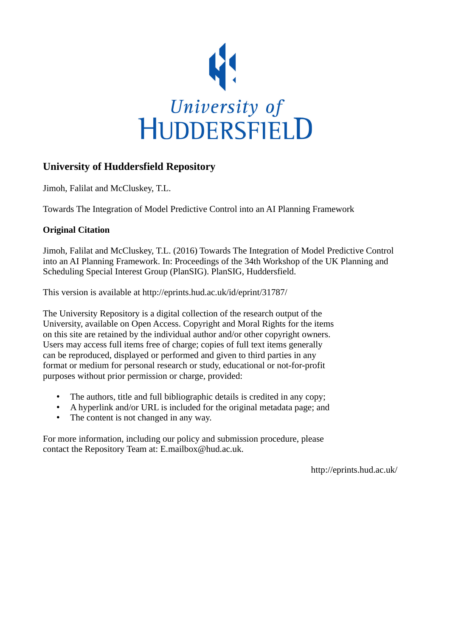

# **University of Huddersfield Repository**

Jimoh, Falilat and McCluskey, T.L.

Towards The Integration of Model Predictive Control into an AI Planning Framework

## **Original Citation**

Jimoh, Falilat and McCluskey, T.L. (2016) Towards The Integration of Model Predictive Control into an AI Planning Framework. In: Proceedings of the 34th Workshop of the UK Planning and Scheduling Special Interest Group (PlanSIG). PlanSIG, Huddersfield.

This version is available at http://eprints.hud.ac.uk/id/eprint/31787/

The University Repository is a digital collection of the research output of the University, available on Open Access. Copyright and Moral Rights for the items on this site are retained by the individual author and/or other copyright owners. Users may access full items free of charge; copies of full text items generally can be reproduced, displayed or performed and given to third parties in any format or medium for personal research or study, educational or not-for-profit purposes without prior permission or charge, provided:

- The authors, title and full bibliographic details is credited in any copy;
- A hyperlink and/or URL is included for the original metadata page; and
- The content is not changed in any way.

For more information, including our policy and submission procedure, please contact the Repository Team at: E.mailbox@hud.ac.uk.

http://eprints.hud.ac.uk/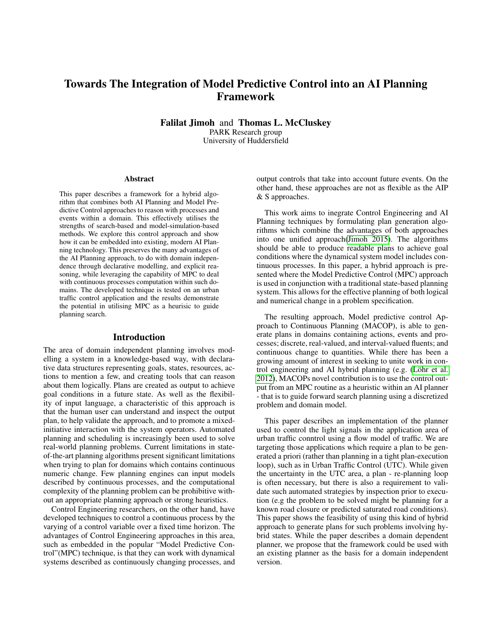## Towards The Integration of Model Predictive Control into an AI Planning Framework

Falilat Jimoh and Thomas L. McCluskey PARK Research group University of Huddersfield

#### Abstract

This paper describes a framework for a hybrid algorithm that combines both AI Planning and Model Predictive Control approaches to reason with processes and events within a domain. This effectively utilises the strengths of search-based and model-simulation-based methods. We explore this control approach and show how it can be embedded into existing, modern AI Planning technology. This preserves the many advantages of the AI Planning approach, to do with domain independence through declarative modelling, and explicit reasoning, while leveraging the capability of MPC to deal with continuous processes computation within such domains. The developed technique is tested on an urban traffic control application and the results demonstrate the potential in utilising MPC as a heurisic to guide planning search.

#### Introduction

The area of domain independent planning involves modelling a system in a knowledge-based way, with declarative data structures representing goals, states, resources, actions to mention a few, and creating tools that can reason about them logically. Plans are created as output to achieve goal conditions in a future state. As well as the flexibility of input language, a characteristic of this approach is that the human user can understand and inspect the output plan, to help validate the approach, and to promote a mixedinitiative interaction with the system operators. Automated planning and scheduling is increasingly been used to solve real-world planning problems. Current limitations in stateof-the-art planning algorithms present significant limitations when trying to plan for domains which contains continuous numeric change. Few planning engines can input models described by continuous processes, and the computational complexity of the planning problem can be prohibitive without an appropriate planning approach or strong heuristics.

Control Engineering researchers, on the other hand, have developed techniques to control a continuous process by the varying of a control variable over a fixed time horizon. The advantages of Control Engineering approaches in this area, such as embedded in the popular "Model Predictive Control"(MPC) technique, is that they can work with dynamical systems described as continuously changing processes, and

output controls that take into account future events. On the other hand, these approaches are not as flexible as the AIP & S approaches.

This work aims to inegrate Control Engineering and AI Planning techniques by formulating plan generation algorithms which combine the advantages of both approaches into one unified approach[\(Jimoh 2015\)](#page-7-0). The algorithms should be able to produce readable plans to achieve goal conditions where the dynamical system model includes continuous processes. In this paper, a hybrid approach is presented where the Model Predictive Control (MPC) approach is used in conjunction with a traditional state-based planning system. This allows for the effective planning of both logical and numerical change in a problem specification.

The resulting approach, Model predictive control Approach to Continuous Planning (MACOP), is able to generate plans in domains containing actions, events and processes; discrete, real-valued, and interval-valued fluents; and continuous change to quantities. While there has been a growing amount of interest in seeking to unite work in control engineering and AI hybrid planning (e.g. (Löhr et al. [2012\)](#page-7-1), MACOPs novel contribution is to use the control output from an MPC routine as a heuristic within an AI planner - that is to guide forward search planning using a discretized problem and domain model.

This paper describes an implementation of the planner used to control the light signals in the application area of urban traffic conntrol using a flow model of traffic. We are targeting those applications which require a plan to be generated a priori (rather than planning in a tight plan-execution loop), such as in Urban Traffic Control (UTC). While given the uncertainty in the UTC area, a plan - re-planning loop is often necessary, but there is also a requirement to validate such automated strategies by inspection prior to execution (e.g the problem to be solved might be planning for a known road closure or predicted saturated road conditions). This paper shows the feasibility of using this kind of hybrid approach to generate plans for such problems involving hybrid states. While the paper describes a domain dependent planner, we propose that the framework could be used with an existing planner as the basis for a domain independent version.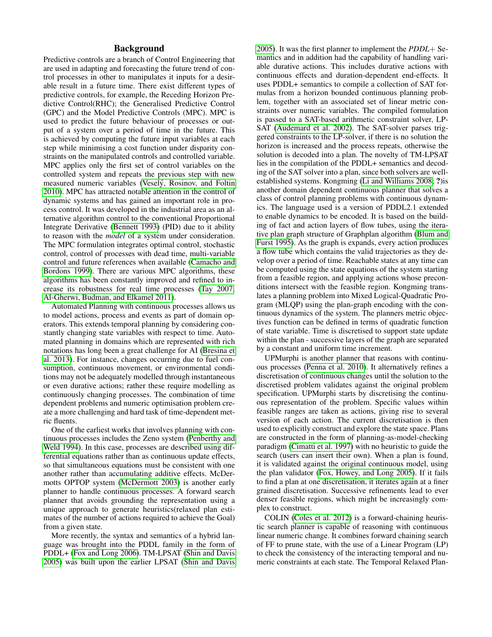### Background

Predictive controls are a branch of Control Engineering that are used in adapting and forecasting the future trend of control processes in other to manipulates it inputs for a desirable result in a future time. There exist different types of predictive controls, for example, the Receding Horizon Predictive Control(RHC); the Generalised Predictive Control (GPC) and the Model Predictive Controls (MPC). MPC is used to predict the future behaviour of processes or output of a system over a period of time in the future. This is achieved by computing the future input variables at each step while minimising a cost function under disparity constraints on the manipulated controls and controlled variable. MPC applies only the first set of control variables on the controlled system and repeats the previous step with new measured numeric variables (Veselý, Rosinov, and Foltin [2010\)](#page-8-0). MPC has attracted notable attention in the control of dynamic systems and has gained an important role in process control. It was developed in the industrial area as an alternative algorithm control to the conventional Proportional Integrate Derivative [\(Bennett 1993\)](#page-7-2) (PID) due to it ability to reason with the *model* of a system under consideration. The MPC formulation integrates optimal control, stochastic control, control of processes with dead time, multi-variable control and future references when available [\(Camacho and](#page-7-3) [Bordons 1999\)](#page-7-3). There are various MPC algorithms, these algorithms has been constantly improved and refined to increase its robustness for real time processes [\(Tay 2007;](#page-8-1) [Al-Gherwi, Budman, and Elkamel 2011\)](#page-7-4).

Automated Planning with continuous processes allows us to model actions, process and events as part of domain operators. This extends temporal planning by considering constantly changing state variables with respect to time. Automated planning in domains which are represented with rich notations has long been a great challenge for AI [\(Bresina et](#page-7-5) [al. 2013\)](#page-7-5). For instance, changes occurring due to fuel consumption, continuous movement, or environmental conditions may not be adequately modelled through instantaneous or even durative actions; rather these require modelling as continuously changing processes. The combination of time dependent problems and numeric optimisation problem create a more challenging and hard task of time-dependent metric fluents.

One of the earliest works that involves planning with continuous processes includes the Zeno system [\(Penberthy and](#page-7-6) [Weld 1994\)](#page-7-6). In this case, processes are described using differential equations rather than as continuous update effects, so that simultaneous equations must be consistent with one another rather than accumulating additive effects. McDermotts OPTOP system [\(McDermott 2003\)](#page-7-7) is another early planner to handle continuous processes. A forward search planner that avoids grounding the representation using a unique approach to generate heuristics(relaxed plan estimates of the number of actions required to achieve the Goal) from a given state.

More recently, the syntax and semantics of a hybrid language was brought into the PDDL family in the form of PDDL+ [\(Fox and Long 2006\)](#page-7-8). TM-LPSAT [\(Shin and Davis](#page-8-2) [2005\)](#page-8-2) was built upon the earlier LPSAT [\(Shin and Davis](#page-8-2) [2005\)](#page-8-2). It was the first planner to implement the *PDDL*+ Semantics and in addition had the capability of handling variable durative actions. This includes durative actions with continuous effects and duration-dependent end-effects. It uses PDDL+ semantics to compile a collection of SAT formulas from a horizon bounded continuous planning problem, together with an associated set of linear metric constraints over numeric variables. The compiled formulation is passed to a SAT-based arithmetic constraint solver, LP-SAT [\(Audemard et al. 2002\)](#page-7-9). The SAT-solver parses triggered constraints to the LP-solver, if there is no solution the horizon is increased and the process repeats, otherwise the solution is decoded into a plan. The novelty of TM-LPSAT lies in the compilation of the PDDL+ semantics and decoding of the SAT solver into a plan, since both solvers are wellestablished systems. Kongming [\(Li and Williams 2008;](#page-7-10) ?)is another domain dependent continuous planner that solves a class of control planning problems with continuous dynamics. The language used is a version of PDDL2.1 extended to enable dynamics to be encoded. It is based on the building of fact and action layers of flow tubes, using the iterative plan graph structure of Graphplan algorithm [\(Blum and](#page-7-11) [Furst 1995\)](#page-7-11). As the graph is expands, every action produces a flow tube which contains the valid trajectories as they develop over a period of time. Reachable states at any time can be computed using the state equations of the system starting from a feasible region, and applying actions whose preconditions intersect with the feasible region. Kongming translates a planning problem into Mixed Logical-Quadratic Program (MLQP) using the plan-graph encoding with the continuous dynamics of the system. The planners metric objectives function can be defined in terms of quadratic function of state variable. Time is discretised to support state update within the plan - successive layers of the graph are separated by a constant and uniform time increment.

UPMurphi is another planner that reasons with continuous processes [\(Penna et al. 2010\)](#page-8-3). It alternatively refines a discretisation of continuous changes until the solution to the discretised problem validates against the original problem specification. UPMurphi starts by discretising the continuous representation of the problem. Specific values within feasible ranges are taken as actions, giving rise to several version of each action. The current discretisation is then used to explicitly construct and explore the state space. Plans are constructed in the form of planning-as-model-checking paradigm [\(Cimatti et al. 1997\)](#page-7-12) with no heuristic to guide the search (users can insert their own). When a plan is found, it is validated against the original continuous model, using the plan validator [\(Fox, Howey, and Long 2005\)](#page-7-13). If it fails to find a plan at one discretisation, it iterates again at a finer grained discretisation. Successive refinements lead to ever denser feasible regions, which might be increasingly complex to construct.

COLIN [\(Coles et al. 2012\)](#page-7-14) is a forward-chaining heuristic search planner is capable of reasoning with continuous linear numeric change. It combines forward chaining search of FF to prune state, with the use of a Linear Program (LP) to check the consistency of the interacting temporal and numeric constraints at each state. The Temporal Relaxed Plan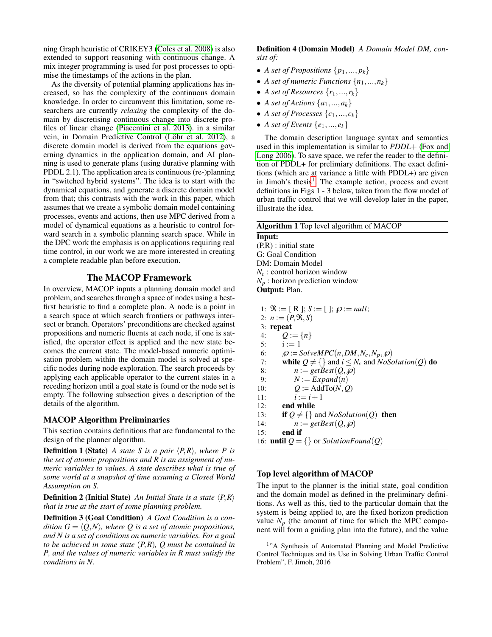ning Graph heuristic of CRIKEY3 [\(Coles et al. 2008\)](#page-7-15) is also extended to support reasoning with continuous change. A mix integer programming is used for post processes to optimise the timestamps of the actions in the plan.

As the diversity of potential planning applications has increased, so has the complexity of the continuous domain knowledge. In order to circumvent this limitation, some researchers are currently *relaxing* the complexity of the domain by discretising continuous change into discrete profiles of linear change [\(Piacentini et al. 2013\)](#page-8-4). in a similar vein, in Domain Predictive Control (Löhr et al. 2012), a discrete domain model is derived from the equations governing dynamics in the application domain, and AI planning is used to generate plans (using durative planning with PDDL 2.1). The application area is continuous (re-)planning in "switched hybrid systems". The idea is to start with the dynamical equations, and generate a discrete domain model from that; this contrasts with the work in this paper, which assumes that we create a symbolic domain model containing processes, events and actions, then use MPC derived from a model of dynamical equations as a heuristic to control forward search in a symbolic planning search space. While in the DPC work the emphasis is on applications requiring real time control, in our work we are more interested in creating a complete readable plan before execution.

## The MACOP Framework

In overview, MACOP inputs a planning domain model and problem, and searches through a space of nodes using a bestfirst heuristic to find a complete plan. A node is a point in a search space at which search frontiers or pathways intersect or branch. Operators' preconditions are checked against propositions and numeric fluents at each node, if one is satisfied, the operator effect is applied and the new state becomes the current state. The model-based numeric optimisation problem within the domain model is solved at specific nodes during node exploration. The search proceeds by applying each applicable operator to the current states in a receding horizon until a goal state is found or the node set is empty. The following subsection gives a description of the details of the algorithm.

### MACOP Algorithm Preliminaries

This section contains definitions that are fundamental to the design of the planner algorithm.

**Definition 1 (State)** *A state S is a pair*  $\langle P, R \rangle$ *, where P is the set of atomic propositions and R is an assignment of numeric variables to values. A state describes what is true of some world at a snapshot of time assuming a Closed World Assumption on S.*

**Definition 2 (Initial State)** *An Initial State is a state*  $\langle P, R \rangle$ *that is true at the start of some planning problem.*

Definition 3 (Goal Condition) *A Goal Condition is a condition*  $G = \langle Q, N \rangle$ *, where Q is a set of atomic propositions, and N is a set of conditions on numeric variables. For a goal to be achieved in some state* (*P*,*R*)*, Q must be contained in P, and the values of numeric variables in R must satisfy the conditions in N.*

Definition 4 (Domain Model) *A Domain Model DM, consist of:*

- *A set of Propositions*  $\{p_1, ..., p_k\}$
- *A set of numeric Functions*  $\{n_1, ..., n_k\}$
- *A set of Resources*  $\{r_1, ..., r_k\}$
- *A set of Actions*  $\{a_1, ..., a_k\}$
- *A set of Processes*  $\{c_1, ..., c_k\}$
- *A set of Events*  $\{e_1, ..., e_k\}$

The domain description language syntax and semantics used in this implementation is similar to *PDDL*+ [\(Fox and](#page-7-8) [Long 2006\)](#page-7-8). To save space, we refer the reader to the definition of PDDL+ for prelimiary definitions. The exact definitions (which are at variance a little with PDDL+) are given in Jimoh's thesis<sup>[1](#page-3-0)</sup>. The example action, process and event definitions in Figs 1 - 3 below, taken from the flow model of urban traffic control that we will develop later in the paper, illustrate the idea.

| <b>Algorithm 1</b> Top level algorithm of MACOP |
|-------------------------------------------------|
| Input:                                          |
| $(P,R)$ : initial state                         |
| G: Goal Condition                               |
| DM: Domain Model                                |
| $N_c$ : control horizon window                  |
| $N_p$ : horizon prediction window               |
| $\sim$ $\sim$ $\sim$ $\sim$                     |

Output: Plan.

- 1:  $\mathfrak{R} := [R]; S := []; \mathfrak{O} := null;$
- 2:  $n := (P, \Re, S)$ 3: repeat
- 4:  $Q := \{n\}$
- 
- 5:  $i := 1$ <br>6:  $\omega := S$
- 6:  $\wp := \text{SolveMPC}(n, DM, N_c, N_p, \wp)$ <br>7: **while**  $Q \neq \{\}$  and  $i \leq N_c$  and  $N \circ S \circ \wp$
- 7: while  $Q \neq \{\}$  and  $i \leq N_c$  and  $NoSolution(Q)$  do<br>8:  $n := getBest(Q, \emptyset)$
- 8:  $n := getBest(Q, \wp)$ <br>9:  $N := Example(f)$
- $N := Expand(n)$
- 10:  $Q := \text{AddTo}(N, Q)$
- 11:  $i := i + 1$
- 12: end while
- 13: if  $Q \neq \{\}$  and *NoSolution*(*Q*) then
- 14:  $n := getBest(Q, \wp)$
- 15: end if

```
16: until Q = \{\} or SolutionFound(Q)
```
## Top level algorithm of MACOP

The input to the planner is the initial state, goal condition and the domain model as defined in the preliminary definitions. As well as this, tied to the particular domain that the system is being applied to, are the fixed horizon prediction value  $N_p$  (the amount of time for which the MPC component will form a guiding plan into the future), and the value

<span id="page-3-0"></span><sup>&</sup>lt;sup>1</sup>"A Synthesis of Automated Planning and Model Predictive Control Techniques and its Use in Solving Urban Traffic Control Problem", F. Jimoh, 2016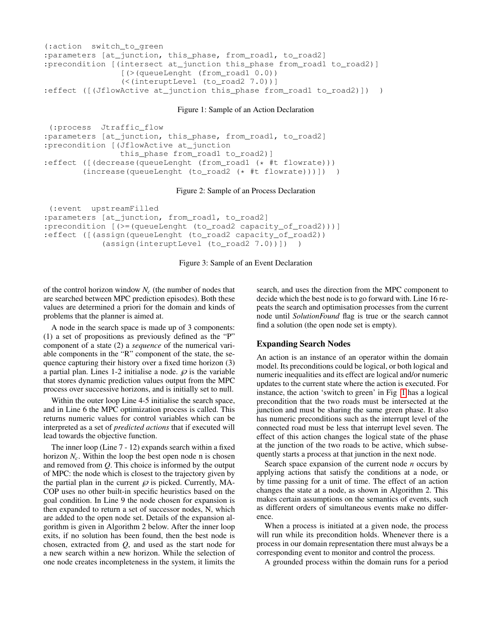```
(:action switch_to_green
:parameters [at_junction, this_phase, from_road1, to_road2]
:precondition [(intersect at_junction this_phase from_road1 to_road2)]
                [(>(queueLenght (from_road1 0.0))
                (<(interuptLevel (to_road2 7.0))]
:effect ([(JflowActive at_junction this_phase from_road1 to_road2)]) )
```
Figure 1: Sample of an Action Declaration

```
(:process Jtraffic_flow
:parameters [at_junction, this_phase, from_road1, to_road2]
:precondition [(JflowActive at_junction
               this_phase from_road1 to_road2)]
:effect ([(decrease(queueLenght (from_road1 (* #t flowrate)))
        (increase(queueLenght (to_road2 (* #t flowrate)))]) )
```
#### Figure 2: Sample of an Process Declaration

```
(:event upstreamFilled
:parameters [at_junction, from_road1, to_road2]
:precondition [(>=(queueLenght (to_road2 capacity_of_road2)))]
:effect ([(assign(queueLenght (to_road2 capacity_of_road2))
            (assign(interuptLevel (to_road2 7.0))]) )
```
Figure 3: Sample of an Event Declaration

of the control horizon window *N<sup>c</sup>* (the number of nodes that are searched between MPC prediction episodes). Both these values are determined a priori for the domain and kinds of problems that the planner is aimed at.

A node in the search space is made up of 3 components: (1) a set of propositions as previously defined as the "P" component of a state (2) a *sequence* of the numerical variable components in the "R" component of the state, the sequence capturing their history over a fixed time horizon (3) a partial plan. Lines 1-2 initialise a node.  $\varphi$  is the variable that stores dynamic prediction values output from the MPC process over successive horizons, and is initially set to null.

Within the outer loop Line 4-5 initialise the search space, and in Line 6 the MPC optimization process is called. This returns numeric values for control variables which can be interpreted as a set of *predicted actions* that if executed will lead towards the objective function.

The inner loop (Line 7 - 12) expands search within a fixed horizon  $N_c$ . Within the loop the best open node n is chosen and removed from *Q*. This choice is informed by the output of MPC: the node which is closest to the trajectory given by the partial plan in the current  $\wp$  is picked. Currently, MA-COP uses no other built-in specific heuristics based on the goal condition. In Line 9 the node chosen for expansion is then expanded to return a set of successor nodes, N, which are added to the open node set. Details of the expansion algorithm is given in Algorithm 2 below. After the inner loop exits, if no solution has been found, then the best node is chosen, extracted from *Q*, and used as the start node for a new search within a new horizon. While the selection of one node creates incompleteness in the system, it limits the

search, and uses the direction from the MPC component to decide which the best node is to go forward with. Line 16 repeats the search and optimisation processes from the current node until *SolutionFound* flag is true or the search cannot find a solution (the open node set is empty).

#### Expanding Search Nodes

An action is an instance of an operator within the domain model. Its preconditions could be logical, or both logical and numeric inequalities and its effect are logical and/or numeric updates to the current state where the action is executed. For instance, the action 'switch to green' in Fig [1](#page-4-0) has a logical precondition that the two roads must be intersected at the junction and must be sharing the same green phase. It also has numeric preconditions such as the interrupt level of the connected road must be less that interrupt level seven. The effect of this action changes the logical state of the phase at the junction of the two roads to be active, which subsequently starts a process at that junction in the next node.

Search space expansion of the current node *n* occurs by applying actions that satisfy the conditions at a node, or by time passing for a unit of time. The effect of an action changes the state at a node, as shown in Algorithm 2. This makes certain assumptions on the semantics of events, such as different orders of simultaneous events make no difference.

When a process is initiated at a given node, the process will run while its precondition holds. Whenever there is a process in our domain representation there must always be a corresponding event to monitor and control the process.

A grounded process within the domain runs for a period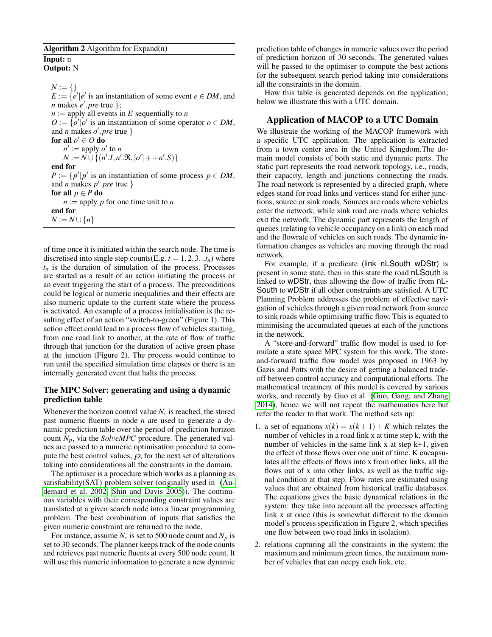| Algorithm 2 Algorithm for Expand(n) |  |  |  |
|-------------------------------------|--|--|--|
|                                     |  |  |  |

#### Input: n Output: N

 $N := \{\}$  $E := \{e' | e' \text{ is an instantiation of some event } e \in DM, \text{ and }$ *n* makes *e* 0 .*pre* true };  $n :=$  apply all events in *E* sequentially to *n*  $O := \{o' | o'$  is an instantiation of some operator  $o \in DM$ , and *n* makes  $o'$ . *pre* true } for all  $o' \in O$  do  $n' := \text{apply } o'$  to *n*  $N := N \cup \{(n', I, n', \Re, [\omicron' ] + +n', S)\}$ end for  $P := \{ p' | p' \text{ is an instantiation of some process } p \in DM, \}$ and *n* makes  $p'$ . *pre* true } for all  $p \in P$  do  $n :=$  apply *p* for one time unit to *n* end for *N* := *N*∪{*n*}

of time once it is initiated within the search node. The time is discretised into single step counts(E.g.  $t = 1, 2, 3...t_n$ ) where  $t_n$  is the duration of simulation of the process. Processes are started as a result of an action initiating the process or an event triggering the start of a process. The preconditions could be logical or numeric inequalities and their effects are also numeric update to the current state where the process is activated. An example of a process initialisation is the resulting effect of an action "switch-to-green" (Figure 1). This action effect could lead to a process flow of vehicles starting, from one road link to another, at the rate of flow of traffic through that junction for the duration of active green phase at the junction (Figure 2). The process would continue to run until the specified simulation time elapses or there is an internally generated event that halts the process.

## The MPC Solver: generating and using a dynamic prediction table

Whenever the horizon control value  $N_c$  is reached, the stored past numeric fluents in node *n* are used to generate a dynamic prediction table over the period of prediction horizon count *Np*, via the *SolveMPC* procedure. The generated values are passed to a numeric optimisation procedure to compute the best control values,  $\wp$ , for the next set of alterations taking into considerations all the constraints in the domain.

The optimiser is a procedure which works as a planning as satisfiability(SAT) problem solver (originally used in [\(Au](#page-7-9)[demard et al. 2002;](#page-7-9) [Shin and Davis 2005\)](#page-8-2)). The continuous variables with their corresponding constraint values are translated at a given search node into a linear programming problem. The best combination of inputs that satisfies the given numeric constraint are returned to the node.

For instance, assume  $N_c$  is set to 500 node count and  $N_p$  is set to 30 seconds. The planner keeps track of the node counts and retrieves past numeric fluents at every 500 node count. It will use this numeric information to generate a new dynamic

prediction table of changes in numeric values over the period of prediction horizon of 30 seconds. The generated values will be passed to the optimiser to compute the best actions for the subsequent search period taking into considerations all the constraints in the domain.

How this table is generated depends on the application; below we illustrate this with a UTC domain.

## Application of MACOP to a UTC Domain

We illustrate the working of the MACOP framework with a specific UTC application. The application is extracted from a town center area in the United Kingdom.The domain model consists of both static and dynamic parts. The static part represents the road network topology, i.e., roads, their capacity, length and junctions connecting the roads. The road network is represented by a directed graph, where edges stand for road links and vertices stand for either junctions, source or sink roads. Sources are roads where vehicles enter the network, while sink road are roads where vehicles exit the network. The dynamic part represents the length of queues (relating to vehicle occupancy on a link) on each road and the flowrate of vehicles on such roads. The dynamic information changes as vehicles are moving through the road network.

For example, if a predicate (link nLSouth wDStr) is present in some state, then in this state the road nLSouth is linked to wDStr, thus allowing the flow of traffic from nL-South to wDStr if all other constraints are satisfied. A UTC Planning Problem addresses the problem of effective navigation of vehicles through a given road network from source to sink roads while optimising traffic flow. This is equated to minimising the accumulated queues at each of the junctions in the network.

A "store-and-forward" traffic flow model is used to formulate a state space MPC system for this work. The storeand-forward traffic flow model was proposed in 1963 by Gazis and Potts with the desire of getting a balanced tradeoff between control accuracy and computational efforts. The mathematical treatment of this model is covered by various works, and recently by Guo et al [\(Guo, Gang, and Zhang](#page-7-16) [2014\)](#page-7-16), hence we will not repeat the mathematics here but refer the reader to that work. The method sets up:

- 1. a set of equations  $x(k) = x(k+1) + K$  which relates the number of vehicles in a road link x at time step k, with the number of vehicles in the same link x at step k+1, given the effect of those flows over one unit of time. K encapsulates all the effects of flows into x from other links, all the flows out of x into other links, as well as the traffic signal condition at that step. Flow rates are estimated using values that are obtained from historical traffic databases. The equations gives the basic dynamical relations in the system: they take into account all the processes affecting link x at once (this is somewhat different to the domain model's process specification in Figure 2, which specifies one flow between two road links in isolation).
- 2. relations capturing all the constraints in the system: the maximum and minimum green times, the maximum number of vehicles that can occpy each link, etc.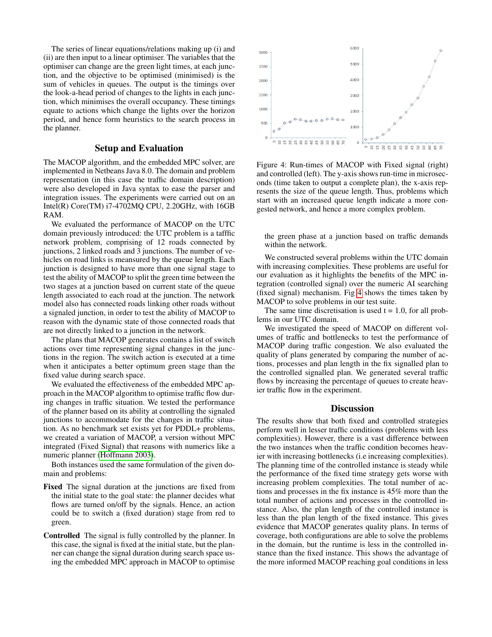The series of linear equations/relations making up (i) and (ii) are then input to a linear optimiser. The variables that the optimiser can change are the green light times, at each junction, and the objective to be optimised (minimised) is the sum of vehicles in queues. The output is the timings over the look-a-head period of changes to the lights in each junction, which minimises the overall occupancy. These timings equate to actions which change the lights over the horizon period, and hence form heuristics to the search process in the planner.

#### Setup and Evaluation

The MACOP algorithm, and the embedded MPC solver, are implemented in Netbeans Java 8.0. The domain and problem representation (in this case the traffic domain description) were also developed in Java syntax to ease the parser and integration issues. The experiments were carried out on an Intel(R) Core(TM) i7-4702MQ CPU, 2.20GHz, with 16GB RAM.

We evaluated the performance of MACOP on the UTC domain previously introduced: the UTC problem is a tafffic network problem, comprising of 12 roads connected by junctions, 2 linked roads and 3 junctions. The number of vehicles on road links is meansured by the queue length. Each junction is designed to have more than one signal stage to test the ability of MACOP to split the green time between the two stages at a junction based on current state of the queue length associated to each road at the junction. The network model also has connected roads linking other roads without a signaled junction, in order to test the ability of MACOP to reason with the dynamic state of those connected roads that are not directly linked to a junction in the network.

The plans that MACOP generates contains a list of switch actions over time representing signal changes in the junctions in the region. The switch action is executed at a time when it anticipates a better optimum green stage than the fixed value during search space.

We evaluated the effectiveness of the embedded MPC approach in the MACOP algorithm to optimise traffic flow during changes in traffic situation. We tested the performance of the planner based on its ability at controlling the signaled junctions to accommodate for the changes in traffic situation. As no benchmark set exists yet for PDDL+ problems, we created a variation of MACOP, a version without MPC integrated (Fixed Signal) that reasons with numerics like a numeric planner [\(Hoffmann 2003\)](#page-7-17).

Both instances used the same formulation of the given domain and problems:

- Fixed The signal duration at the junctions are fixed from the initial state to the goal state: the planner decides what flows are turned on/off by the signals. Hence, an action could be to switch a (fixed duration) stage from red to green.
- Controlled The signal is fully controlled by the planner. In this case, the signal is fixed at the initial state, but the planner can change the signal duration during search space using the embedded MPC approach in MACOP to optimise

<span id="page-6-0"></span>

Figure 4: Run-times of MACOP with Fixed signal (right) and controlled (left). The y-axis shows run-time in microseconds (time taken to output a complete plan), the x-axis represents the size of the queue length. Thus, problems which start with an increased queue length indicate a more congested network, and hence a more complex problem.

the green phase at a junction based on traffic demands within the network.

We constructed several problems within the UTC domain with increasing complexities. These problems are useful for our evaluation as it highlights the benefits of the MPC integration (controlled signal) over the numeric AI searching (fixed signal) mechanism. Fig [4](#page-6-0) shows the times taken by MACOP to solve problems in our test suite.

The same time discretisation is used  $t = 1.0$ , for all problems in our UTC domain.

We investigated the speed of MACOP on different volumes of traffic and bottlenecks to test the performance of MACOP during traffic congestion. We also evaluated the quality of plans generated by comparing the number of actions, processes and plan length in the fix signalled plan to the controlled signalled plan. We generated several traffic flows by increasing the percentage of queues to create heavier traffic flow in the experiment.

#### **Discussion**

The results show that both fixed and controlled strategies perform well in lesser traffic conditions (problems with less complexities). However, there is a vast difference between the two instances when the traffic condition becomes heavier with increasing bottlenecks (i.e increasing complexities). The planning time of the controlled instance is steady while the performance of the fixed time strategy gets worse with increasing problem complexities. The total number of actions and processes in the fix instance is 45% more than the total number of actions and processes in the controlled instance. Also, the plan length of the controlled instance is less than the plan length of the fixed instance. This gives evidence that MACOP generates quality plans. In terms of coverage, both configurations are able to solve the problems in the domain, but the runtime is less in the controlled instance than the fixed instance. This shows the advantage of the more informed MACOP reaching goal conditions in less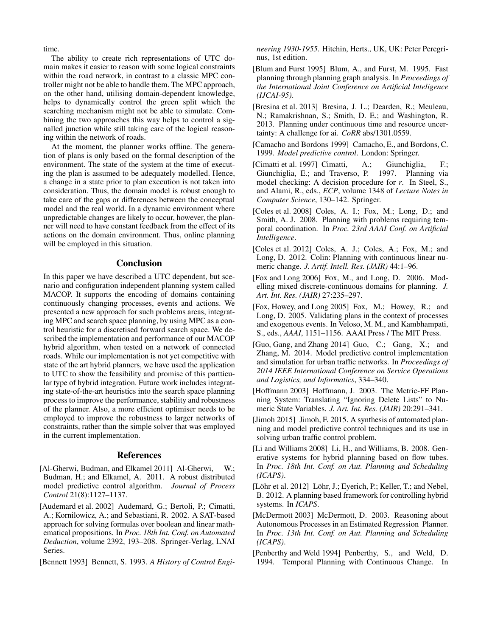time.

The ability to create rich representations of UTC domain makes it easier to reason with some logical constraints within the road network, in contrast to a classic MPC controller might not be able to handle them. The MPC approach, on the other hand, utilising domain-dependent knowledge, helps to dynamically control the green split which the searching mechanism might not be able to simulate. Combining the two approaches this way helps to control a signalled junction while still taking care of the logical reasoning within the network of roads.

At the moment, the planner works offline. The generation of plans is only based on the formal description of the environment. The state of the system at the time of executing the plan is assumed to be adequately modelled. Hence, a change in a state prior to plan execution is not taken into consideration. Thus, the domain model is robust enough to take care of the gaps or differences between the conceptual model and the real world. In a dynamic environment where unpredictable changes are likely to occur, however, the planner will need to have constant feedback from the effect of its actions on the domain environment. Thus, online planning will be employed in this situation.

#### Conclusion

In this paper we have described a UTC dependent, but scenario and configuration independent planning system called MACOP. It supports the encoding of domains containing continuously changing processes, events and actions. We presented a new approach for such problems areas, integrating MPC and search space planning, by using MPC as a control heuristic for a discretised forward search space. We described the implementation and performance of our MACOP hybrid algorithm, when tested on a network of connected roads. While our implementation is not yet competitive with state of the art hybrid planners, we have used the application to UTC to show the feasibility and promise of this partticular type of hybrid integration. Future work includes integrating state-of-the-art heuristics into the search space planning process to improve the performance, stability and robustness of the planner. Also, a more efficient optimiser needs to be employed to improve the robustness to larger networks of constraints, rather than the simple solver that was employed in the current implementation.

#### References

- <span id="page-7-4"></span>[Al-Gherwi, Budman, and Elkamel 2011] Al-Gherwi, W.; Budman, H.; and Elkamel, A. 2011. A robust distributed model predictive control algorithm. *Journal of Process Control* 21(8):1127–1137.
- <span id="page-7-9"></span>[Audemard et al. 2002] Audemard, G.; Bertoli, P.; Cimatti, A.; Kornilowicz, A.; and Sebastiani, R. 2002. A SAT-based approach for solving formulas over boolean and linear mathematical propositions. In *Proc. 18th Int. Conf. on Automated Deduction*, volume 2392, 193–208. Springer-Verlag, LNAI Series.
- <span id="page-7-2"></span>[Bennett 1993] Bennett, S. 1993. *A History of Control Engi-*

*neering 1930-1955*. Hitchin, Herts., UK, UK: Peter Peregrinus, 1st edition.

- <span id="page-7-11"></span>[Blum and Furst 1995] Blum, A., and Furst, M. 1995. Fast planning through planning graph analysis. In *Proceedings of the International Joint Conference on Artificial Inteligence (IJCAI-95)*.
- <span id="page-7-5"></span>[Bresina et al. 2013] Bresina, J. L.; Dearden, R.; Meuleau, N.; Ramakrishnan, S.; Smith, D. E.; and Washington, R. 2013. Planning under continuous time and resource uncertainty: A challenge for ai. *CoRR* abs/1301.0559.
- <span id="page-7-3"></span>[Camacho and Bordons 1999] Camacho, E., and Bordons, C. 1999. *Model predictive control*. London: Springer.
- <span id="page-7-12"></span>[Cimatti et al. 1997] Cimatti, A.; Giunchiglia, F.; Giunchiglia, E.; and Traverso, P. 1997. Planning via model checking: A decision procedure for *r*. In Steel, S., and Alami, R., eds., *ECP*, volume 1348 of *Lecture Notes in Computer Science*, 130–142. Springer.
- <span id="page-7-15"></span>[Coles et al. 2008] Coles, A. I.; Fox, M.; Long, D.; and Smith, A. J. 2008. Planning with problems requiring temporal coordination. In *Proc. 23rd AAAI Conf. on Artificial Intelligence*.
- <span id="page-7-14"></span>[Coles et al. 2012] Coles, A. J.; Coles, A.; Fox, M.; and Long, D. 2012. Colin: Planning with continuous linear numeric change. *J. Artif. Intell. Res. (JAIR)* 44:1–96.
- <span id="page-7-8"></span>[Fox and Long 2006] Fox, M., and Long, D. 2006. Modelling mixed discrete-continuous domains for planning. *J. Art. Int. Res. (JAIR)* 27:235–297.
- <span id="page-7-13"></span>[Fox, Howey, and Long 2005] Fox, M.; Howey, R.; and Long, D. 2005. Validating plans in the context of processes and exogenous events. In Veloso, M. M., and Kambhampati, S., eds., *AAAI*, 1151–1156. AAAI Press / The MIT Press.
- <span id="page-7-16"></span>[Guo, Gang, and Zhang 2014] Guo, C.; Gang, X.; and Zhang, M. 2014. Model predictive control implementation and simulation for urban traffic networks. In *Proceedings of 2014 IEEE International Conference on Service Operations and Logistics, and Informatics*, 334–340.
- <span id="page-7-17"></span>[Hoffmann 2003] Hoffmann, J. 2003. The Metric-FF Planning System: Translating "Ignoring Delete Lists" to Numeric State Variables. *J. Art. Int. Res. (JAIR)* 20:291–341.
- <span id="page-7-0"></span>[Jimoh 2015] Jimoh, F. 2015. A synthesis of automated planning and model predictive control techniques and its use in solving urban traffic control problem.
- <span id="page-7-10"></span>[Li and Williams 2008] Li, H., and Williams, B. 2008. Generative systems for hybrid planning based on flow tubes. In *Proc. 18th Int. Conf. on Aut. Planning and Scheduling (ICAPS)*.
- <span id="page-7-1"></span>[Löhr et al. 2012] Löhr, J.; Eyerich, P.; Keller, T.; and Nebel, B. 2012. A planning based framework for controlling hybrid systems. In *ICAPS*.
- <span id="page-7-7"></span>[McDermott 2003] McDermott, D. 2003. Reasoning about Autonomous Processes in an Estimated Regression Planner. In *Proc. 13th Int. Conf. on Aut. Planning and Scheduling (ICAPS)*.
- <span id="page-7-6"></span>[Penberthy and Weld 1994] Penberthy, S., and Weld, D. 1994. Temporal Planning with Continuous Change. In